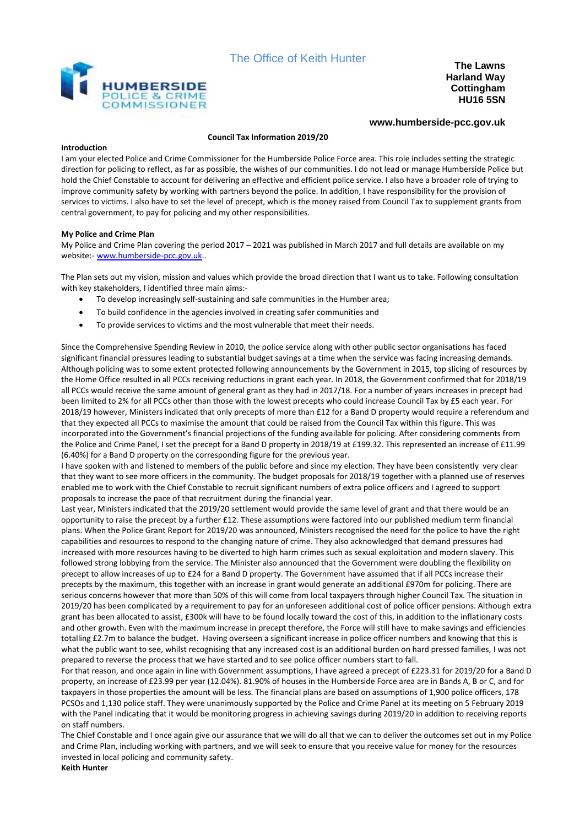



**Harland Way Cottingham HU16 5SN**

# **www.humberside-pcc.gov.uk**

#### **Council Tax Information 2019/20**

#### **Introduction**

I am your elected Police and Crime Commissioner for the Humberside Police Force area. This role includes setting the strategic direction for policing to reflect, as far as possible, the wishes of our communities. I do not lead or manage Humberside Police but hold the Chief Constable to account for delivering an effective and efficient police service. I also have a broader role of trying to improve community safety by working with partners beyond the police. In addition, I have responsibility for the provision of services to victims. I also have to set the level of precept, which is the money raised from Council Tax to supplement grants from central government, to pay for policing and my other responsibilities.

## **My Police and Crime Plan**

My Police and Crime Plan covering the period 2017 – 2021 was published in March 2017 and full details are available on my website:- [www.humberside-pcc.gov.uk.](http://www.humberside-pcc.gov.uk/).

The Plan sets out my vision, mission and values which provide the broad direction that I want us to take. Following consultation with key stakeholders, I identified three main aims:-

- To develop increasingly self-sustaining and safe communities in the Humber area;
- To build confidence in the agencies involved in creating safer communities and
- To provide services to victims and the most vulnerable that meet their needs.

Since the Comprehensive Spending Review in 2010, the police service along with other public sector organisations has faced significant financial pressures leading to substantial budget savings at a time when the service was facing increasing demands. Although policing was to some extent protected following announcements by the Government in 2015, top slicing of resources by the Home Office resulted in all PCCs receiving reductions in grant each year. In 2018, the Government confirmed that for 2018/19 all PCCs would receive the same amount of general grant as they had in 2017/18. For a number of years increases in precept had been limited to 2% for all PCCs other than those with the lowest precepts who could increase Council Tax by £5 each year. For 2018/19 however, Ministers indicated that only precepts of more than £12 for a Band D property would require a referendum and that they expected all PCCs to maximise the amount that could be raised from the Council Tax within this figure. This was incorporated into the Government's financial projections of the funding available for policing. After considering comments from the Police and Crime Panel, I set the precept for a Band D property in 2018/19 at £199.32. This represented an increase of £11.99 (6.40%) for a Band D property on the corresponding figure for the previous year.

I have spoken with and listened to members of the public before and since my election. They have been consistently very clear that they want to see more officers in the community. The budget proposals for 2018/19 together with a planned use of reserves enabled me to work with the Chief Constable to recruit significant numbers of extra police officers and I agreed to support proposals to increase the pace of that recruitment during the financial year.

Last year, Ministers indicated that the 2019/20 settlement would provide the same level of grant and that there would be an opportunity to raise the precept by a further £12. These assumptions were factored into our published medium term financial plans. When the Police Grant Report for 2019/20 was announced, Ministers recognised the need for the police to have the right capabilities and resources to respond to the changing nature of crime. They also acknowledged that demand pressures had increased with more resources having to be diverted to high harm crimes such as sexual exploitation and modern slavery. This followed strong lobbying from the service. The Minister also announced that the Government were doubling the flexibility on precept to allow increases of up to £24 for a Band D property. The Government have assumed that if all PCCs increase their precepts by the maximum, this together with an increase in grant would generate an additional £970m for policing. There are serious concerns however that more than 50% of this will come from local taxpayers through higher Council Tax. The situation in 2019/20 has been complicated by a requirement to pay for an unforeseen additional cost of police officer pensions. Although extra grant has been allocated to assist, £300k will have to be found locally toward the cost of this, in addition to the inflationary costs and other growth. Even with the maximum increase in precept therefore, the Force will still have to make savings and efficiencies totalling £2.7m to balance the budget. Having overseen a significant increase in police officer numbers and knowing that this is what the public want to see, whilst recognising that any increased cost is an additional burden on hard pressed families, I was not prepared to reverse the process that we have started and to see police officer numbers start to fall.

For that reason, and once again in line with Government assumptions, I have agreed a precept of £223.31 for 2019/20 for a Band D property, an increase of £23.99 per year (12.04%). 81.90% of houses in the Humberside Force area are in Bands A, B or C, and for taxpayers in those properties the amount will be less. The financial plans are based on assumptions of 1,900 police officers, 178 PCSOs and 1,130 police staff. They were unanimously supported by the Police and Crime Panel at its meeting on 5 February 2019 with the Panel indicating that it would be monitoring progress in achieving savings during 2019/20 in addition to receiving reports on staff numbers.

The Chief Constable and I once again give our assurance that we will do all that we can to deliver the outcomes set out in my Police and Crime Plan, including working with partners, and we will seek to ensure that you receive value for money for the resources invested in local policing and community safety.

**Keith Hunter**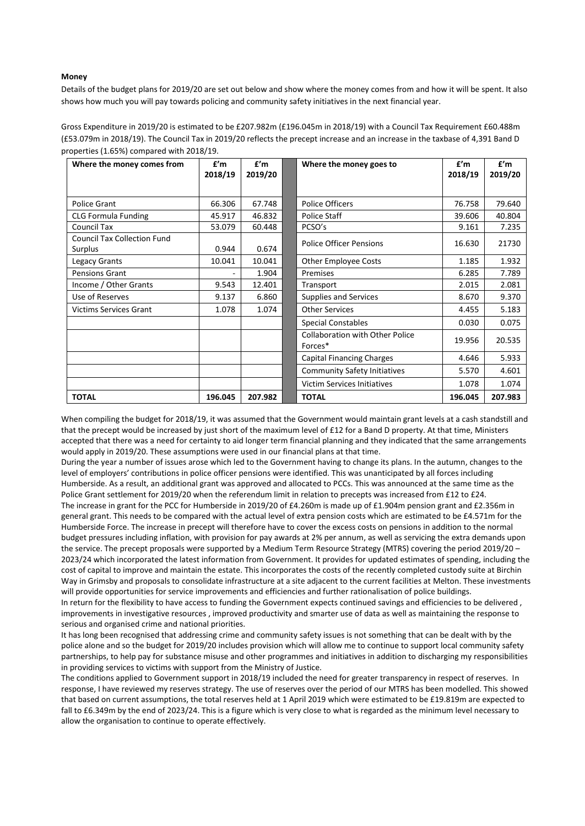## **Money**

Details of the budget plans for 2019/20 are set out below and show where the money comes from and how it will be spent. It also shows how much you will pay towards policing and community safety initiatives in the next financial year.

Gross Expenditure in 2019/20 is estimated to be £207.982m (£196.045m in 2018/19) with a Council Tax Requirement £60.488m (£53.079m in 2018/19). The Council Tax in 2019/20 reflects the precept increase and an increase in the taxbase of 4,391 Band D properties (1.65%) compared with 2018/19.

| Where the money comes from                    | f'm     | f'm     | Where the money goes to                           | f'm     | f'm     |
|-----------------------------------------------|---------|---------|---------------------------------------------------|---------|---------|
|                                               | 2018/19 | 2019/20 |                                                   | 2018/19 | 2019/20 |
|                                               |         |         |                                                   |         |         |
| <b>Police Grant</b>                           | 66.306  | 67.748  | <b>Police Officers</b>                            | 76.758  | 79.640  |
| <b>CLG Formula Funding</b>                    | 45.917  | 46.832  | Police Staff                                      | 39.606  | 40.804  |
| <b>Council Tax</b>                            | 53.079  | 60.448  | PCSO's                                            | 9.161   | 7.235   |
| <b>Council Tax Collection Fund</b><br>Surplus | 0.944   | 0.674   | <b>Police Officer Pensions</b>                    | 16.630  | 21730   |
| Legacy Grants                                 | 10.041  | 10.041  | <b>Other Employee Costs</b>                       | 1.185   | 1.932   |
| Pensions Grant                                |         | 1.904   | Premises                                          | 6.285   | 7.789   |
| Income / Other Grants                         | 9.543   | 12.401  | Transport                                         | 2.015   | 2.081   |
| Use of Reserves                               | 9.137   | 6.860   | <b>Supplies and Services</b>                      | 8.670   | 9.370   |
| <b>Victims Services Grant</b>                 | 1.078   | 1.074   | <b>Other Services</b>                             | 4.455   | 5.183   |
|                                               |         |         | <b>Special Constables</b>                         | 0.030   | 0.075   |
|                                               |         |         | <b>Collaboration with Other Police</b><br>Forces* | 19.956  | 20.535  |
|                                               |         |         | <b>Capital Financing Charges</b>                  | 4.646   | 5.933   |
|                                               |         |         | <b>Community Safety Initiatives</b>               | 5.570   | 4.601   |
|                                               |         |         | <b>Victim Services Initiatives</b>                | 1.078   | 1.074   |
| <b>TOTAL</b>                                  | 196.045 | 207.982 | <b>TOTAL</b>                                      | 196.045 | 207.983 |

When compiling the budget for 2018/19, it was assumed that the Government would maintain grant levels at a cash standstill and that the precept would be increased by just short of the maximum level of £12 for a Band D property. At that time, Ministers accepted that there was a need for certainty to aid longer term financial planning and they indicated that the same arrangements would apply in 2019/20. These assumptions were used in our financial plans at that time.

During the year a number of issues arose which led to the Government having to change its plans. In the autumn, changes to the level of employers' contributions in police officer pensions were identified. This was unanticipated by all forces including Humberside. As a result, an additional grant was approved and allocated to PCCs. This was announced at the same time as the Police Grant settlement for 2019/20 when the referendum limit in relation to precepts was increased from £12 to £24. The increase in grant for the PCC for Humberside in 2019/20 of £4.260m is made up of £1.904m pension grant and £2.356m in general grant. This needs to be compared with the actual level of extra pension costs which are estimated to be £4.571m for the Humberside Force. The increase in precept will therefore have to cover the excess costs on pensions in addition to the normal budget pressures including inflation, with provision for pay awards at 2% per annum, as well as servicing the extra demands upon the service. The precept proposals were supported by a Medium Term Resource Strategy (MTRS) covering the period 2019/20 – 2023/24 which incorporated the latest information from Government. It provides for updated estimates of spending, including the cost of capital to improve and maintain the estate. This incorporates the costs of the recently completed custody suite at Birchin Way in Grimsby and proposals to consolidate infrastructure at a site adjacent to the current facilities at Melton. These investments will provide opportunities for service improvements and efficiencies and further rationalisation of police buildings. In return for the flexibility to have access to funding the Government expects continued savings and efficiencies to be delivered , improvements in investigative resources , improved productivity and smarter use of data as well as maintaining the response to

serious and organised crime and national priorities.

It has long been recognised that addressing crime and community safety issues is not something that can be dealt with by the police alone and so the budget for 2019/20 includes provision which will allow me to continue to support local community safety partnerships, to help pay for substance misuse and other programmes and initiatives in addition to discharging my responsibilities in providing services to victims with support from the Ministry of Justice.

The conditions applied to Government support in 2018/19 included the need for greater transparency in respect of reserves. In response, I have reviewed my reserves strategy. The use of reserves over the period of our MTRS has been modelled. This showed that based on current assumptions, the total reserves held at 1 April 2019 which were estimated to be £19.819m are expected to fall to £6.349m by the end of 2023/24. This is a figure which is very close to what is regarded as the minimum level necessary to allow the organisation to continue to operate effectively.